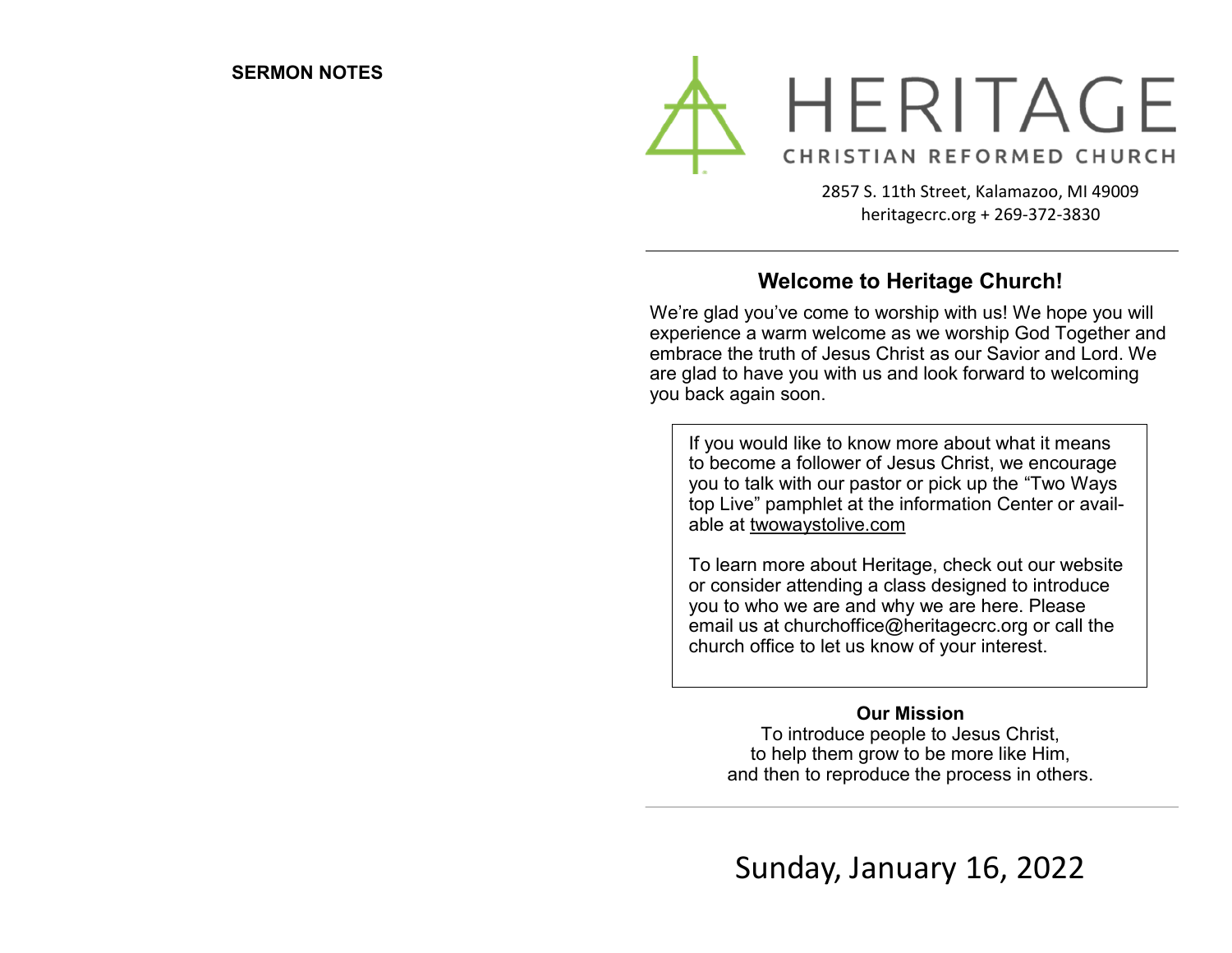

2857 S. 11th Street, Kalamazoo, MI 49009 heritagecrc.org + 269-372-3830

### **Welcome to Heritage Church!**

We're glad you've come to worship with us! We hope you will experience a warm welcome as we worship God Together and embrace the truth of Jesus Christ as our Savior and Lord. We are glad to have you with us and look forward to welcoming you back again soon.

If you would like to know more about what it means to become a follower of Jesus Christ, we encourage you to talk with our pastor or pick up the "Two Ways top Live" pamphlet at the information Center or available at twowaystolive.com

To learn more about Heritage, check out our website or consider attending a class designed to introduce you to who we are and why we are here. Please email us at churchoffice@heritagecrc.org or call the church office to let us know of your interest.

#### **Our Mission**

To introduce people to Jesus Christ, to help them grow to be more like Him, and then to reproduce the process in others.

Sunday, January 16, 2022